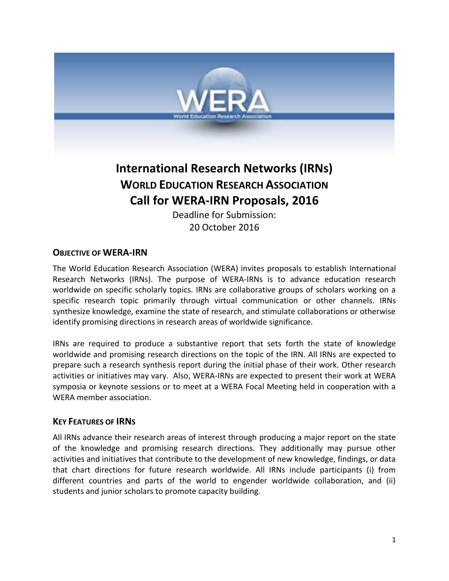

# **International Research Networks (IRNs) WORLD EDUCATION RESEARCH ASSOCIATION Call for WERA-IRN Proposals, 2016**

Deadline for Submission: 20 October 2016

## **OBJECTIVE OF WERA-IRN**

The World Education Research Association (WERA) invites proposals to establish International Research Networks (IRNs). The purpose of WERA-IRNs is to advance education research worldwide on specific scholarly topics. IRNs are collaborative groups of scholars working on a specific research topic primarily through virtual communication or other channels. IRNs synthesize knowledge, examine the state of research, and stimulate collaborations or otherwise identify promising directions in research areas of worldwide significance.

IRNs are required to produce a substantive report that sets forth the state of knowledge worldwide and promising research directions on the topic of the IRN. All IRNs are expected to prepare such a research synthesis report during the initial phase of their work. Other research activities or initiatives may vary. Also, WERA-IRNs are expected to present their work at WERA symposia or keynote sessions or to meet at a WERA Focal Meeting held in cooperation with a WERA member association.

#### **KEY FEATURES OF IRNS**

All IRNs advance their research areas of interest through producing a major report on the state of the knowledge and promising research directions. They additionally may pursue other activities and initiatives that contribute to the development of new knowledge, findings, or data that chart directions for future research worldwide. All IRNs include participants (i) from different countries and parts of the world to engender worldwide collaboration, and (ii) students and junior scholars to promote capacity building.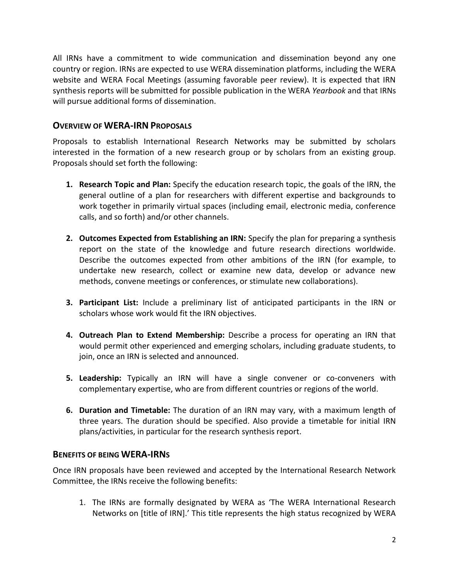All IRNs have a commitment to wide communication and dissemination beyond any one country or region. IRNs are expected to use WERA dissemination platforms, including the WERA website and WERA Focal Meetings (assuming favorable peer review). It is expected that IRN synthesis reports will be submitted for possible publication in the WERA *Yearbook* and that IRNs will pursue additional forms of dissemination.

### **OVERVIEW OF WERA-IRN PROPOSALS**

Proposals to establish International Research Networks may be submitted by scholars interested in the formation of a new research group or by scholars from an existing group. Proposals should set forth the following:

- **1. Research Topic and Plan:** Specify the education research topic, the goals of the IRN, the general outline of a plan for researchers with different expertise and backgrounds to work together in primarily virtual spaces (including email, electronic media, conference calls, and so forth) and/or other channels.
- **2. Outcomes Expected from Establishing an IRN:** Specify the plan for preparing a synthesis report on the state of the knowledge and future research directions worldwide. Describe the outcomes expected from other ambitions of the IRN (for example, to undertake new research, collect or examine new data, develop or advance new methods, convene meetings or conferences, or stimulate new collaborations).
- **3. Participant List:** Include a preliminary list of anticipated participants in the IRN or scholars whose work would fit the IRN objectives.
- **4. Outreach Plan to Extend Membership:** Describe a process for operating an IRN that would permit other experienced and emerging scholars, including graduate students, to join, once an IRN is selected and announced.
- **5. Leadership:** Typically an IRN will have a single convener or co-conveners with complementary expertise, who are from different countries or regions of the world.
- **6. Duration and Timetable:** The duration of an IRN may vary, with a maximum length of three years. The duration should be specified. Also provide a timetable for initial IRN plans/activities, in particular for the research synthesis report.

#### **BENEFITS OF BEING WERA-IRNS**

Once IRN proposals have been reviewed and accepted by the International Research Network Committee, the IRNs receive the following benefits:

1. The IRNs are formally designated by WERA as 'The WERA International Research Networks on [title of IRN].' This title represents the high status recognized by WERA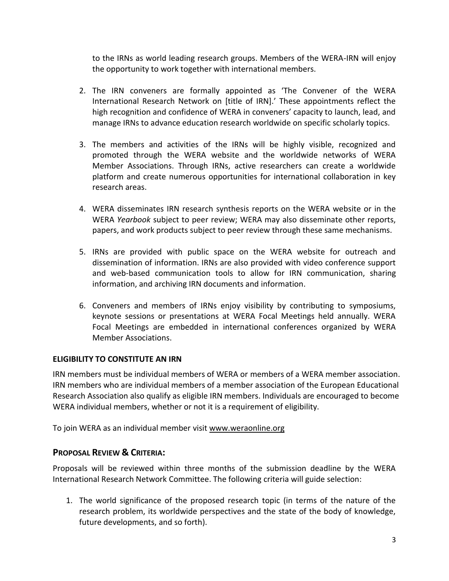to the IRNs as world leading research groups. Members of the WERA-IRN will enjoy the opportunity to work together with international members.

- 2. The IRN conveners are formally appointed as 'The Convener of the WERA International Research Network on [title of IRN].' These appointments reflect the high recognition and confidence of WERA in conveners' capacity to launch, lead, and manage IRNs to advance education research worldwide on specific scholarly topics.
- 3. The members and activities of the IRNs will be highly visible, recognized and promoted through the WERA website and the worldwide networks of WERA Member Associations. Through IRNs, active researchers can create a worldwide platform and create numerous opportunities for international collaboration in key research areas.
- 4. WERA disseminates IRN research synthesis reports on the WERA website or in the WERA *Yearbook* subject to peer review; WERA may also disseminate other reports, papers, and work products subject to peer review through these same mechanisms.
- 5. IRNs are provided with public space on the WERA website for outreach and dissemination of information. IRNs are also provided with video conference support and web-based communication tools to allow for IRN communication, sharing information, and archiving IRN documents and information.
- 6. Conveners and members of IRNs enjoy visibility by contributing to symposiums, keynote sessions or presentations at WERA Focal Meetings held annually. WERA Focal Meetings are embedded in international conferences organized by WERA Member Associations.

#### **ELIGIBILITY TO CONSTITUTE AN IRN**

IRN members must be individual members of WERA or members of a WERA member association. IRN members who are individual members of a member association of the European Educational Research Association also qualify as eligible IRN members. Individuals are encouraged to become WERA individual members, whether or not it is a requirement of eligibility.

To join WERA as an individual member visit [www.weraonline.org](http://www.weraonline.org/)

## **PROPOSAL REVIEW & CRITERIA:**

Proposals will be reviewed within three months of the submission deadline by the WERA International Research Network Committee. The following criteria will guide selection:

1. The world significance of the proposed research topic (in terms of the nature of the research problem, its worldwide perspectives and the state of the body of knowledge, future developments, and so forth).